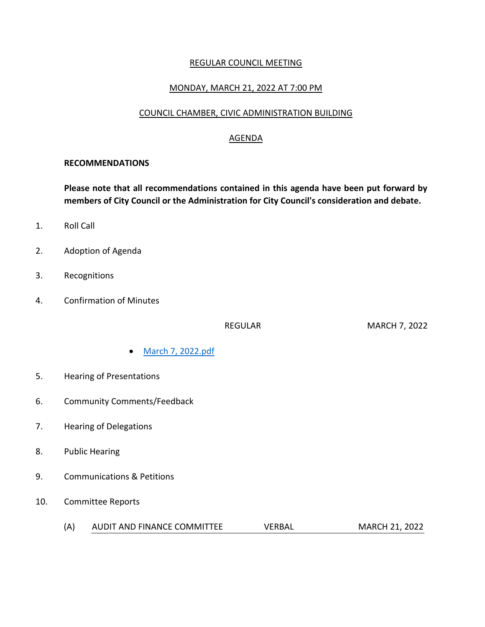### REGULAR COUNCIL MEETING

### MONDAY, MARCH 21, 2022 AT 7:00 PM

### COUNCIL CHAMBER, CIVIC ADMINISTRATION BUILDING

#### AGENDA

#### **RECOMMENDATIONS**

**Please note that all recommendations contained in this agenda have been put forward by members of City Council or the Administration for City Council's consideration and debate.**

- 1. Roll Call
- 2. Adoption of Agenda
- 3. Recognitions
- 4. Confirmation of Minutes

REGULAR MARCH 7, 2022

- [March 7, 2022.pdf](https://paperlesscouncil.brandon.ca/attachments/A_2022/COM_JNDEZZJOVBKWCJKACSTGEXYAXTALBMMXDOYKJVEAMCGEHKYWGBM_March%207,%202022.pdf)
- 5. Hearing of Presentations
- 6. Community Comments/Feedback
- 7. Hearing of Delegations
- 8. Public Hearing
- 9. Communications & Petitions
- 10. Committee Reports
	- (A) AUDIT AND FINANCE COMMITTEE VERBAL MARCH 21, 2022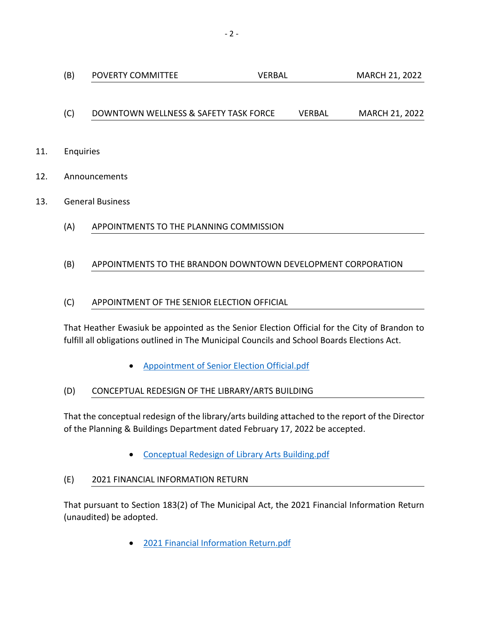# (C) DOWNTOWN WELLNESS & SAFETY TASK FORCE VERBAL MARCH 21, 2022

- 11. Enquiries
- 12. Announcements
- 13. General Business
	- (A) APPOINTMENTS TO THE PLANNING COMMISSION

## (B) APPOINTMENTS TO THE BRANDON DOWNTOWN DEVELOPMENT CORPORATION

## (C) APPOINTMENT OF THE SENIOR ELECTION OFFICIAL

That Heather Ewasiuk be appointed as the Senior Election Official for the City of Brandon to fulfill all obligations outlined in The Municipal Councils and School Boards Elections Act.

[Appointment of Senior Election Official.pdf](https://paperlesscouncil.brandon.ca/attachments/A_2022/GEN_BOZQRGXJLXACIUINDDPXJLVAGODNNSVOPPJUEJLKKXAIGHNDMIR_Appointment%20of%20Senior%20Election%20Official.pdf)

### (D) CONCEPTUAL REDESIGN OF THE LIBRARY/ARTS BUILDING

That the conceptual redesign of the library/arts building attached to the report of the Director of the Planning & Buildings Department dated February 17, 2022 be accepted.

[Conceptual Redesign of Library Arts Building.pdf](https://paperlesscouncil.brandon.ca/attachments/A_2022/GEN_XMVBYRHEZSTEMOUZCDMVZMOYWWIVJXIQZRGRKFSUMMONQUDKCIP_Conceptual%20Redesign%20of%20Library%20Arts%20Building.pdf)

### (E) 2021 FINANCIAL INFORMATION RETURN

That pursuant to Section 183(2) of The Municipal Act, the 2021 Financial Information Return (unaudited) be adopted.

[2021 Financial Information Return.pdf](https://paperlesscouncil.brandon.ca/attachments/A_2022/GEN_TSMPYGYTLDAOHYMLSEIOQJTKVGCFLYZXVXAFZFRZRVPBSITKAQL_2021%20Financial%20Information%20Return.pdf)